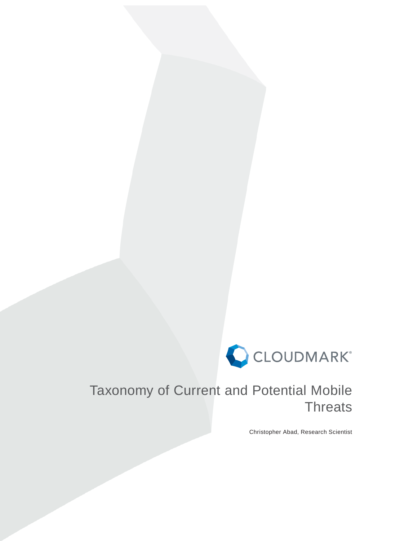

# Taxonomy of Current and Potential Mobile **Threats**

Christopher Abad, Research Scientist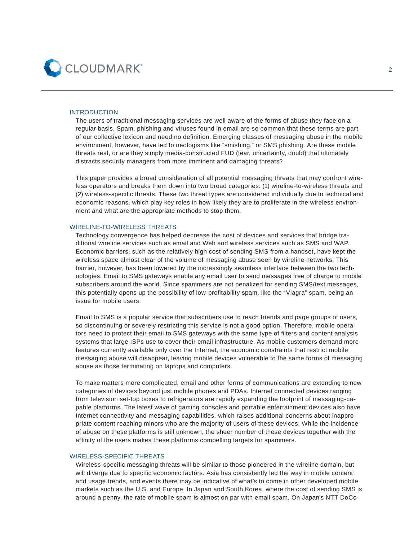

#### INTRODUCTION

The users of traditional messaging services are well aware of the forms of abuse they face on a regular basis. Spam, phishing and viruses found in email are so common that these terms are part of our collective lexicon and need no definition. Emerging classes of messaging abuse in the mobile environment, however, have led to neologisms like "smishing," or SMS phishing. Are these mobile threats real, or are they simply media-constructed FUD (fear, uncertainty, doubt) that ultimately distracts security managers from more imminent and damaging threats?

This paper provides a broad consideration of all potential messaging threats that may confront wireless operators and breaks them down into two broad categories: (1) wireline-to-wireless threats and (2) wireless-specific threats. These two threat types are considered individually due to technical and economic reasons, which play key roles in how likely they are to proliferate in the wireless environment and what are the appropriate methods to stop them.

#### WIRELINE-TO-WIRELESS THREATS

Technology convergence has helped decrease the cost of devices and services that bridge traditional wireline services such as email and Web and wireless services such as SMS and WAP. Economic barriers, such as the relatively high cost of sending SMS from a handset, have kept the wireless space almost clear of the volume of messaging abuse seen by wireline networks. This barrier, however, has been lowered by the increasingly seamless interface between the two technologies. Email to SMS gateways enable any email user to send messages free of charge to mobile subscribers around the world. Since spammers are not penalized for sending SMS/text messages, this potentially opens up the possibility of low-profitability spam, like the "Viagra" spam, being an issue for mobile users.

Email to SMS is a popular service that subscribers use to reach friends and page groups of users, so discontinuing or severely restricting this service is not a good option. Therefore, mobile operators need to protect their email to SMS gateways with the same type of filters and content analysis systems that large ISPs use to cover their email infrastructure. As mobile customers demand more features currently available only over the Internet, the economic constraints that restrict mobile messaging abuse will disappear, leaving mobile devices vulnerable to the same forms of messaging abuse as those terminating on laptops and computers.

To make matters more complicated, email and other forms of communications are extending to new categories of devices beyond just mobile phones and PDAs. Internet connected devices ranging from television set-top boxes to refrigerators are rapidly expanding the footprint of messaging-capable platforms. The latest wave of gaming consoles and portable entertainment devices also have Internet connectivity and messaging capabilities, which raises additional concerns about inappropriate content reaching minors who are the majority of users of these devices. While the incidence of abuse on these platforms is still unknown, the sheer number of these devices together with the affinity of the users makes these platforms compelling targets for spammers.

#### WIRELESS-SPECIFIC THREATS

Wireless-specific messaging threats will be similar to those pioneered in the wireline domain, but will diverge due to specific economic factors. Asia has consistently led the way in mobile content and usage trends, and events there may be indicative of what's to come in other developed mobile markets such as the U.S. and Europe. In Japan and South Korea, where the cost of sending SMS is around a penny, the rate of mobile spam is almost on par with email spam. On Japan's NTT DoCo-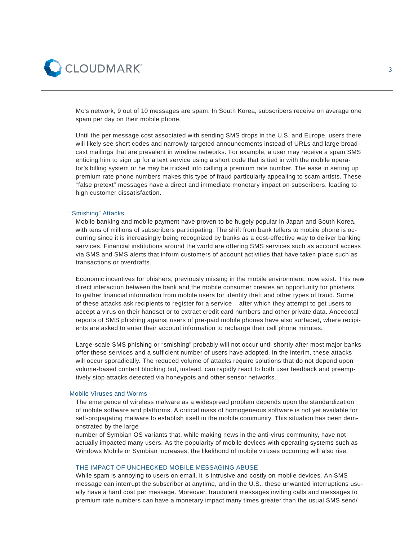

Mo's network, 9 out of 10 messages are spam. In South Korea, subscribers receive on average one spam per day on their mobile phone.

Until the per message cost associated with sending SMS drops in the U.S. and Europe, users there will likely see short codes and narrowly-targeted announcements instead of URLs and large broadcast mailings that are prevalent in wireline networks. For example, a user may receive a spam SMS enticing him to sign up for a text service using a short code that is tied in with the mobile operator's billing system or he may be tricked into calling a premium rate number. The ease in setting up premium rate phone numbers makes this type of fraud particularly appealing to scam artists. These "false pretext" messages have a direct and immediate monetary impact on subscribers, leading to high customer dissatisfaction.

#### "Smishing" Attacks

Mobile banking and mobile payment have proven to be hugely popular in Japan and South Korea, with tens of millions of subscribers participating. The shift from bank tellers to mobile phone is occurring since it is increasingly being recognized by banks as a cost-effective way to deliver banking services. Financial institutions around the world are offering SMS services such as account access via SMS and SMS alerts that inform customers of account activities that have taken place such as transactions or overdrafts.

Economic incentives for phishers, previously missing in the mobile environment, now exist. This new direct interaction between the bank and the mobile consumer creates an opportunity for phishers to gather financial information from mobile users for identity theft and other types of fraud. Some of these attacks ask recipients to register for a service – after which they attempt to get users to accept a virus on their handset or to extract credit card numbers and other private data. Anecdotal reports of SMS phishing against users of pre-paid mobile phones have also surfaced, where recipients are asked to enter their account information to recharge their cell phone minutes.

Large-scale SMS phishing or "smishing" probably will not occur until shortly after most major banks offer these services and a sufficient number of users have adopted. In the interim, these attacks will occur sporadically. The reduced volume of attacks require solutions that do not depend upon volume-based content blocking but, instead, can rapidly react to both user feedback and preemptively stop attacks detected via honeypots and other sensor networks.

# Mobile Viruses and Worms

The emergence of wireless malware as a widespread problem depends upon the standardization of mobile software and platforms. A critical mass of homogeneous software is not yet available for self-propagating malware to establish itself in the mobile community. This situation has been demonstrated by the large

number of Symbian OS variants that, while making news in the anti-virus community, have not actually impacted many users. As the popularity of mobile devices with operating systems such as Windows Mobile or Symbian increases, the likelihood of mobile viruses occurring will also rise.

## THE IMPACT OF UNCHECKED MOBILE MESSAGING ABUSE

While spam is annoying to users on email, it is intrusive and costly on mobile devices. An SMS message can interrupt the subscriber at anytime, and in the U.S., these unwanted interruptions usually have a hard cost per message. Moreover, fraudulent messages inviting calls and messages to premium rate numbers can have a monetary impact many times greater than the usual SMS send/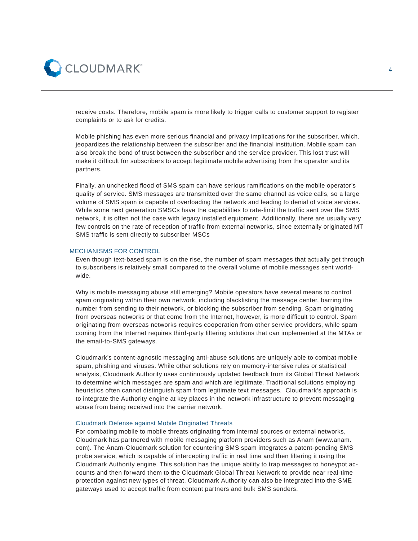

receive costs. Therefore, mobile spam is more likely to trigger calls to customer support to register complaints or to ask for credits.

Mobile phishing has even more serious financial and privacy implications for the subscriber, which. jeopardizes the relationship between the subscriber and the financial institution. Mobile spam can also break the bond of trust between the subscriber and the service provider. This lost trust will make it difficult for subscribers to accept legitimate mobile advertising from the operator and its partners.

Finally, an unchecked flood of SMS spam can have serious ramifications on the mobile operator's quality of service. SMS messages are transmitted over the same channel as voice calls, so a large volume of SMS spam is capable of overloading the network and leading to denial of voice services. While some next generation SMSCs have the capabilities to rate-limit the traffic sent over the SMS network, it is often not the case with legacy installed equipment. Additionally, there are usually very few controls on the rate of reception of traffic from external networks, since externally originated MT SMS traffic is sent directly to subscriber MSCs

# MECHANISMS FOR CONTROL

Even though text-based spam is on the rise, the number of spam messages that actually get through to subscribers is relatively small compared to the overall volume of mobile messages sent worldwide.

Why is mobile messaging abuse still emerging? Mobile operators have several means to control spam originating within their own network, including blacklisting the message center, barring the number from sending to their network, or blocking the subscriber from sending. Spam originating from overseas networks or that come from the Internet, however, is more difficult to control. Spam originating from overseas networks requires cooperation from other service providers, while spam coming from the Internet requires third-party filtering solutions that can implemented at the MTAs or the email-to-SMS gateways.

Cloudmark's content-agnostic messaging anti-abuse solutions are uniquely able to combat mobile spam, phishing and viruses. While other solutions rely on memory-intensive rules or statistical analysis, Cloudmark Authority uses continuously updated feedback from its Global Threat Network to determine which messages are spam and which are legitimate. Traditional solutions employing heuristics often cannot distinguish spam from legitimate text messages. Cloudmark's approach is to integrate the Authority engine at key places in the network infrastructure to prevent messaging abuse from being received into the carrier network.

#### Cloudmark Defense against Mobile Originated Threats

For combating mobile to mobile threats originating from internal sources or external networks, Cloudmark has partnered with mobile messaging platform providers such as Anam (www.anam. com). The Anam-Cloudmark solution for countering SMS spam integrates a patent-pending SMS probe service, which is capable of intercepting traffic in real time and then filtering it using the Cloudmark Authority engine. This solution has the unique ability to trap messages to honeypot accounts and then forward them to the Cloudmark Global Threat Network to provide near real-time protection against new types of threat. Cloudmark Authority can also be integrated into the SME gateways used to accept traffic from content partners and bulk SMS senders.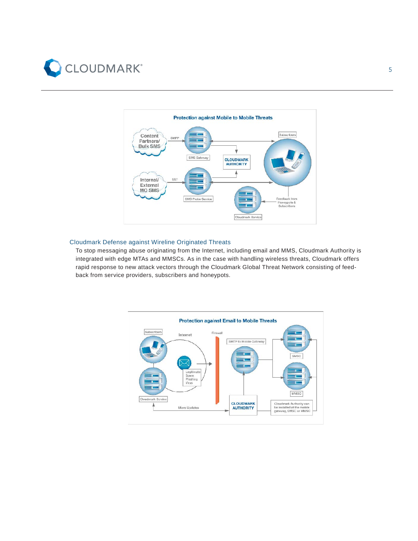



#### Cloudmark Defense against Wireline Originated Threats

To stop messaging abuse originating from the Internet, including email and MMS, Cloudmark Authority is integrated with edge MTAs and MMSCs. As in the case with handling wireless threats, Cloudmark offers rapid response to new attack vectors through the Cloudmark Global Threat Network consisting of feedback from service providers, subscribers and honeypots.